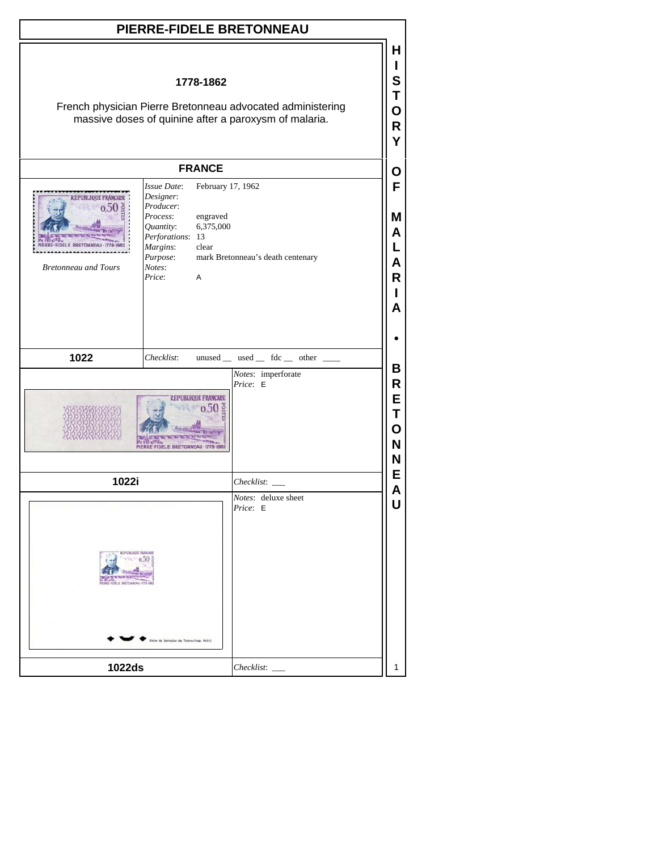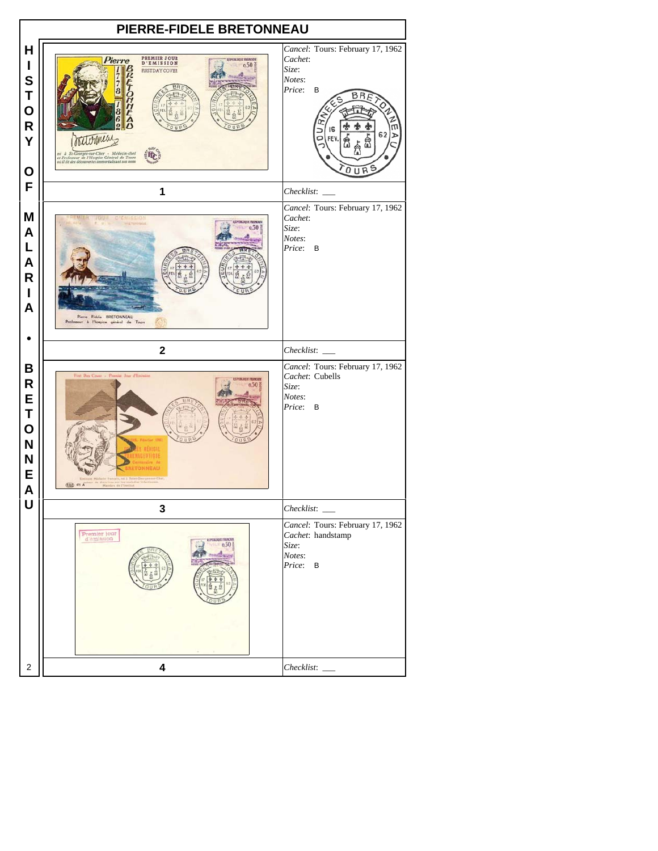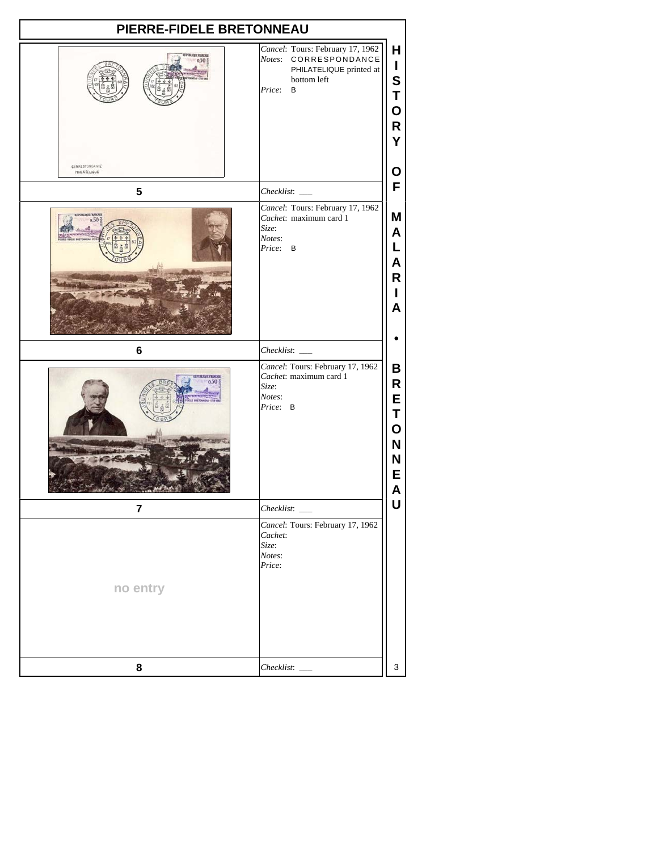| PIERRE-FIDELE BRETONNEAU       |                                                                                                                    |                                           |
|--------------------------------|--------------------------------------------------------------------------------------------------------------------|-------------------------------------------|
| PUBLIQUE FIMACI<br>0.50        | Cancel: Tours: February 17, 1962<br>Notes: CORRESPONDANCE<br>PHILATELIQUE printed at<br>bottom left<br>Price:<br>B | Н<br>L<br>S<br>T<br>О<br>R<br>Y           |
| CORRESPONDANCE<br>PHILATELIQUE |                                                                                                                    | О                                         |
| 5                              | Checklist:                                                                                                         | F                                         |
| EPUBLIQUE FRANCAER<br>0.50     | Cancel: Tours: February 17, 1962<br>Cachet: maximum card 1<br>Size:<br>Notes:<br>Price: B                          | Μ<br>A<br>L<br>A<br>R<br>L<br>A           |
| 6                              |                                                                                                                    |                                           |
|                                | Cancel: Tours: February 17, 1962<br>Cachet: maximum card 1<br>Size:<br>Notes:<br>Price: B                          | В<br>R<br>E<br>Τ<br>O<br>N<br>N<br>E<br>Δ |
| $\overline{7}$                 | Checklist:                                                                                                         | U                                         |
| no entry                       | Cancel: Tours: February 17, 1962<br>Cachet:<br>Size:<br>Notes:<br>Price:                                           |                                           |
| 8                              | Checklist:                                                                                                         | 3                                         |
|                                |                                                                                                                    |                                           |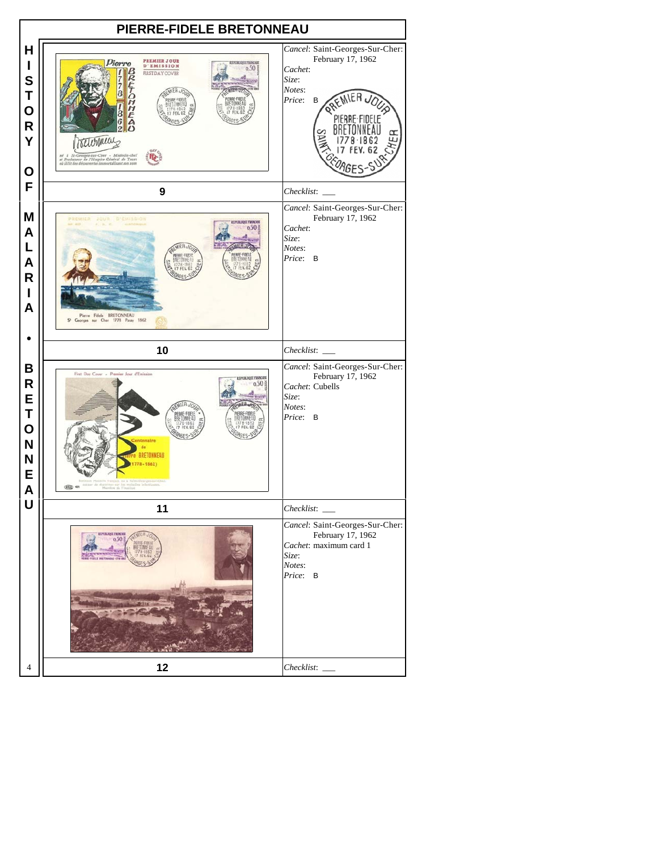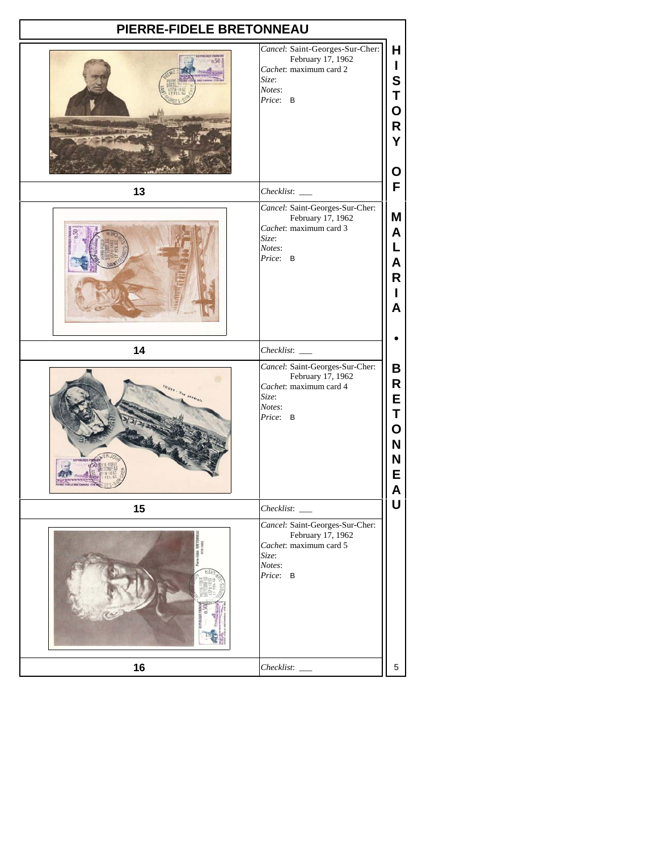| PIERRE-FIDELE BRETONNEAU       |                                                                                                               |                                           |
|--------------------------------|---------------------------------------------------------------------------------------------------------------|-------------------------------------------|
| <b>POILIDEE FRANCE</b><br>0.50 | Cancel: Saint-Georges-Sur-Cher:<br>February 17, 1962<br>Cachet: maximum card 2<br>Size:<br>Notes:<br>Price: B | Н<br>L<br>S<br>Т<br>O<br>R<br>Ý<br>O      |
| 13                             | Checklist:                                                                                                    | F                                         |
|                                | Cancel: Saint-Georges-Sur-Cher:<br>February 17, 1962<br>Cachet: maximum card 3<br>Size:<br>Notes:<br>Price: B | Μ<br>A<br>L<br>A<br>R<br>L<br>A           |
| 14                             | Checklist:                                                                                                    |                                           |
|                                | Cancel: Saint-Georges-Sur-Cher:<br>February 17, 1962<br>Cachet: maximum card 4<br>Size:<br>Notes:<br>Price: B | В<br>R<br>E<br>Τ<br>O<br>N<br>N<br>E<br>A |
| 15                             | Checklist:                                                                                                    | U                                         |
|                                | Cancel: Saint-Georges-Sur-Cher:<br>February 17, 1962<br>Cachet: maximum card 5<br>Size:<br>Notes:<br>Price: B |                                           |
|                                |                                                                                                               |                                           |